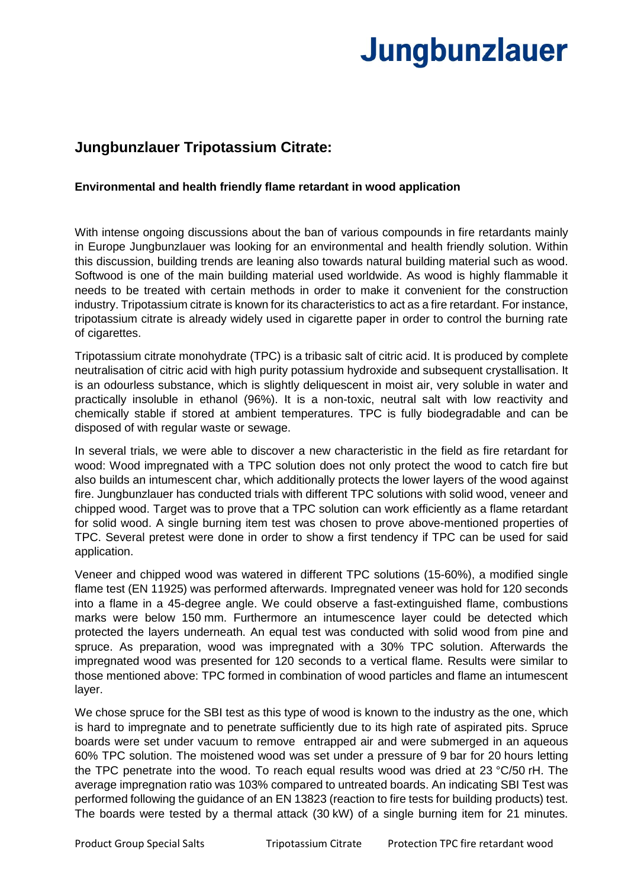## **Jungbunzlauer**

## **Jungbunzlauer Tripotassium Citrate:**

## **Environmental and health friendly flame retardant in wood application**

With intense ongoing discussions about the ban of various compounds in fire retardants mainly in Europe Jungbunzlauer was looking for an environmental and health friendly solution. Within this discussion, building trends are leaning also towards natural building material such as wood. Softwood is one of the main building material used worldwide. As wood is highly flammable it needs to be treated with certain methods in order to make it convenient for the construction industry. Tripotassium citrate is known for its characteristics to act as a fire retardant. For instance, tripotassium citrate is already widely used in cigarette paper in order to control the burning rate of cigarettes.

Tripotassium citrate monohydrate (TPC) is a tribasic salt of citric acid. It is produced by complete neutralisation of citric acid with high purity potassium hydroxide and subsequent crystallisation. It is an odourless substance, which is slightly deliquescent in moist air, very soluble in water and practically insoluble in ethanol (96%). It is a non-toxic, neutral salt with low reactivity and chemically stable if stored at ambient temperatures. TPC is fully biodegradable and can be disposed of with regular waste or sewage.

In several trials, we were able to discover a new characteristic in the field as fire retardant for wood: Wood impregnated with a TPC solution does not only protect the wood to catch fire but also builds an intumescent char, which additionally protects the lower layers of the wood against fire. Jungbunzlauer has conducted trials with different TPC solutions with solid wood, veneer and chipped wood. Target was to prove that a TPC solution can work efficiently as a flame retardant for solid wood. A single burning item test was chosen to prove above-mentioned properties of TPC. Several pretest were done in order to show a first tendency if TPC can be used for said application.

Veneer and chipped wood was watered in different TPC solutions (15-60%), a modified single flame test (EN 11925) was performed afterwards. Impregnated veneer was hold for 120 seconds into a flame in a 45-degree angle. We could observe a fast-extinguished flame, combustions marks were below 150 mm. Furthermore an intumescence layer could be detected which protected the layers underneath. An equal test was conducted with solid wood from pine and spruce. As preparation, wood was impregnated with a 30% TPC solution. Afterwards the impregnated wood was presented for 120 seconds to a vertical flame. Results were similar to those mentioned above: TPC formed in combination of wood particles and flame an intumescent layer.

We chose spruce for the SBI test as this type of wood is known to the industry as the one, which is hard to impregnate and to penetrate sufficiently due to its high rate of aspirated pits. Spruce boards were set under vacuum to remove entrapped air and were submerged in an aqueous 60% TPC solution. The moistened wood was set under a pressure of 9 bar for 20 hours letting the TPC penetrate into the wood. To reach equal results wood was dried at 23 °C/50 rH. The average impregnation ratio was 103% compared to untreated boards. An indicating SBI Test was performed following the guidance of an EN 13823 (reaction to fire tests for building products) test. The boards were tested by a thermal attack (30 kW) of a single burning item for 21 minutes.